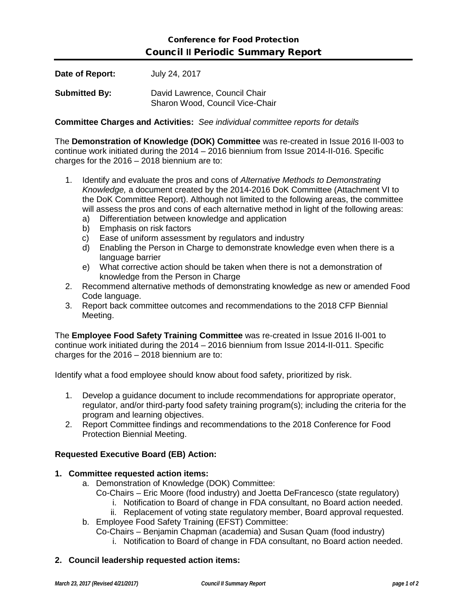| Date of Report:      | July 24, 2017                                                    |
|----------------------|------------------------------------------------------------------|
| <b>Submitted By:</b> | David Lawrence, Council Chair<br>Sharon Wood, Council Vice-Chair |

**Committee Charges and Activities:** *See individual committee reports for details*

The **Demonstration of Knowledge (DOK) Committee** was re-created in Issue 2016 II-003 to continue work initiated during the 2014 – 2016 biennium from Issue 2014-II-016. Specific charges for the  $2016 - 2018$  biennium are to:

- 1. Identify and evaluate the pros and cons of *Alternative Methods to Demonstrating Knowledge,* a document created by the 2014-2016 DoK Committee (Attachment VI to the DoK Committee Report). Although not limited to the following areas, the committee will assess the pros and cons of each alternative method in light of the following areas:
	- a) Differentiation between knowledge and application
	- b) Emphasis on risk factors
	- c) Ease of uniform assessment by regulators and industry
	- d) Enabling the Person in Charge to demonstrate knowledge even when there is a language barrier
	- e) What corrective action should be taken when there is not a demonstration of knowledge from the Person in Charge
- 2. Recommend alternative methods of demonstrating knowledge as new or amended Food Code language.
- 3. Report back committee outcomes and recommendations to the 2018 CFP Biennial Meeting.

The **Employee Food Safety Training Committee** was re-created in Issue 2016 II-001 to continue work initiated during the 2014 – 2016 biennium from Issue 2014-II-011. Specific charges for the 2016 – 2018 biennium are to:

Identify what a food employee should know about food safety, prioritized by risk.

- 1. Develop a guidance document to include recommendations for appropriate operator, regulator, and/or third-party food safety training program(s); including the criteria for the program and learning objectives.
- 2. Report Committee findings and recommendations to the 2018 Conference for Food Protection Biennial Meeting.

## **Requested Executive Board (EB) Action:**

## **1. Committee requested action items:**

- a. Demonstration of Knowledge (DOK) Committee:
	- Co-Chairs Eric Moore (food industry) and Joetta DeFrancesco (state regulatory)
		- i. Notification to Board of change in FDA consultant, no Board action needed.
		- ii. Replacement of voting state regulatory member, Board approval requested.
- b. Employee Food Safety Training (EFST) Committee:
	- Co-Chairs Benjamin Chapman (academia) and Susan Quam (food industry)
		- i. Notification to Board of change in FDA consultant, no Board action needed.

## **2. Council leadership requested action items:**